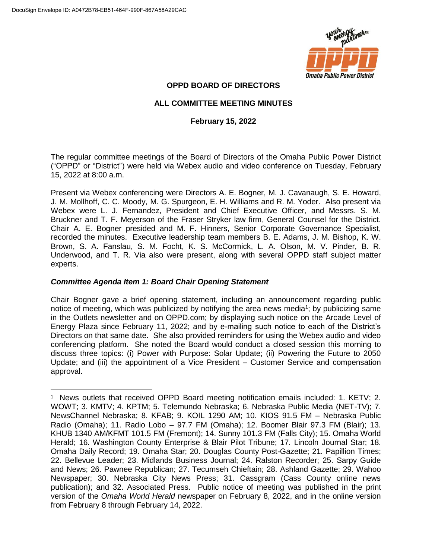$\overline{a}$ 



# **OPPD BOARD OF DIRECTORS**

# **ALL COMMITTEE MEETING MINUTES**

# **February 15, 2022**

The regular committee meetings of the Board of Directors of the Omaha Public Power District ("OPPD" or "District") were held via Webex audio and video conference on Tuesday, February 15, 2022 at 8:00 a.m.

Present via Webex conferencing were Directors A. E. Bogner, M. J. Cavanaugh, S. E. Howard, J. M. Mollhoff, C. C. Moody, M. G. Spurgeon, E. H. Williams and R. M. Yoder. Also present via Webex were L. J. Fernandez, President and Chief Executive Officer, and Messrs. S. M. Bruckner and T. F. Meyerson of the Fraser Stryker law firm, General Counsel for the District. Chair A. E. Bogner presided and M. F. Hinners, Senior Corporate Governance Specialist, recorded the minutes. Executive leadership team members B. E. Adams, J. M. Bishop, K. W. Brown, S. A. Fanslau, S. M. Focht, K. S. McCormick, L. A. Olson, M. V. Pinder, B. R. Underwood, and T. R. Via also were present, along with several OPPD staff subject matter experts.

## *Committee Agenda Item 1: Board Chair Opening Statement*

Chair Bogner gave a brief opening statement, including an announcement regarding public notice of meeting, which was publicized by notifying the area news media<sup>1</sup>; by publicizing same in the Outlets newsletter and on OPPD.com; by displaying such notice on the Arcade Level of Energy Plaza since February 11, 2022; and by e-mailing such notice to each of the District's Directors on that same date. She also provided reminders for using the Webex audio and video conferencing platform. She noted the Board would conduct a closed session this morning to discuss three topics: (i) Power with Purpose: Solar Update; (ii) Powering the Future to 2050 Update; and (iii) the appointment of a Vice President – Customer Service and compensation approval.

<sup>&</sup>lt;sup>1</sup> News outlets that received OPPD Board meeting notification emails included: 1. KETV; 2. WOWT; 3. KMTV; 4. KPTM; 5. Telemundo Nebraska; 6. Nebraska Public Media (NET-TV); 7. NewsChannel Nebraska; 8. KFAB; 9. KOIL 1290 AM; 10. KIOS 91.5 FM – Nebraska Public Radio (Omaha); 11. Radio Lobo – 97.7 FM (Omaha); 12. Boomer Blair 97.3 FM (Blair); 13. KHUB 1340 AM/KFMT 101.5 FM (Fremont); 14. Sunny 101.3 FM (Falls City); 15. Omaha World Herald; 16. Washington County Enterprise & Blair Pilot Tribune; 17. Lincoln Journal Star; 18. Omaha Daily Record; 19. Omaha Star; 20. Douglas County Post-Gazette; 21. Papillion Times; 22. Bellevue Leader; 23. Midlands Business Journal; 24. Ralston Recorder; 25. Sarpy Guide and News; 26. Pawnee Republican; 27. Tecumseh Chieftain; 28. Ashland Gazette; 29. Wahoo Newspaper; 30. Nebraska City News Press; 31. Cassgram (Cass County online news publication); and 32. Associated Press. Public notice of meeting was published in the print version of the *Omaha World Herald* newspaper on February 8, 2022, and in the online version from February 8 through February 14, 2022.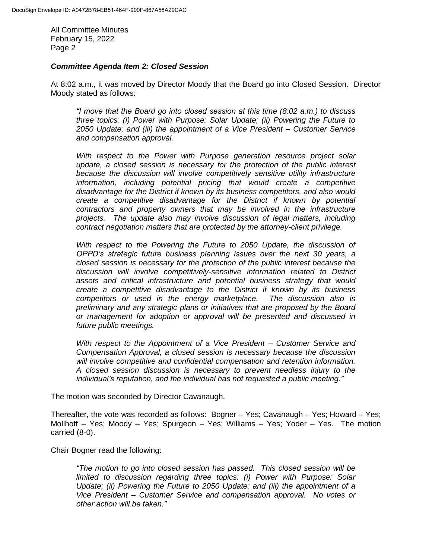#### *Committee Agenda Item 2: Closed Session*

At 8:02 a.m., it was moved by Director Moody that the Board go into Closed Session. Director Moody stated as follows:

*"I move that the Board go into closed session at this time (8:02 a.m.) to discuss three topics: (i) Power with Purpose: Solar Update; (ii) Powering the Future to 2050 Update; and (iii) the appointment of a Vice President – Customer Service and compensation approval.*

*With respect to the Power with Purpose generation resource project solar update, a closed session is necessary for the protection of the public interest because the discussion will involve competitively sensitive utility infrastructure information, including potential pricing that would create a competitive disadvantage for the District if known by its business competitors, and also would create a competitive disadvantage for the District if known by potential contractors and property owners that may be involved in the infrastructure projects. The update also may involve discussion of legal matters, including contract negotiation matters that are protected by the attorney-client privilege.*

*With respect to the Powering the Future to 2050 Update, the discussion of OPPD's strategic future business planning issues over the next 30 years, a closed session is necessary for the protection of the public interest because the discussion will involve competitively-sensitive information related to District assets and critical infrastructure and potential business strategy that would create a competitive disadvantage to the District if known by its business competitors or used in the energy marketplace. The discussion also is preliminary and any strategic plans or initiatives that are proposed by the Board or management for adoption or approval will be presented and discussed in future public meetings.*

*With respect to the Appointment of a Vice President – Customer Service and Compensation Approval, a closed session is necessary because the discussion will involve competitive and confidential compensation and retention information. A closed session discussion is necessary to prevent needless injury to the individual's reputation, and the individual has not requested a public meeting."*

The motion was seconded by Director Cavanaugh.

Thereafter, the vote was recorded as follows: Bogner – Yes; Cavanaugh – Yes; Howard – Yes; Mollhoff – Yes; Moody – Yes; Spurgeon – Yes; Williams – Yes; Yoder – Yes. The motion carried (8-0).

Chair Bogner read the following:

*"The motion to go into closed session has passed. This closed session will be limited to discussion regarding three topics: (i) Power with Purpose: Solar Update; (ii) Powering the Future to 2050 Update; and (iii) the appointment of a Vice President – Customer Service and compensation approval. No votes or other action will be taken."*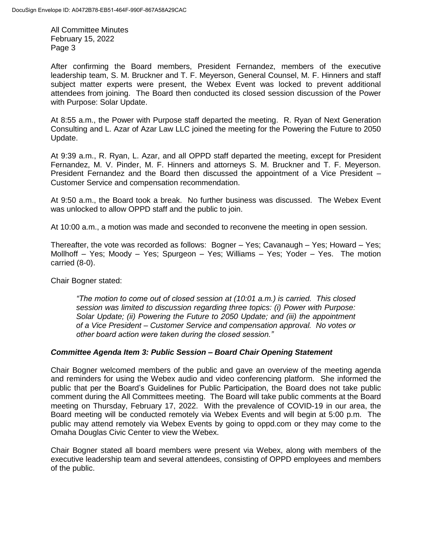After confirming the Board members, President Fernandez, members of the executive leadership team, S. M. Bruckner and T. F. Meyerson, General Counsel, M. F. Hinners and staff subject matter experts were present, the Webex Event was locked to prevent additional attendees from joining. The Board then conducted its closed session discussion of the Power with Purpose: Solar Update.

At 8:55 a.m., the Power with Purpose staff departed the meeting. R. Ryan of Next Generation Consulting and L. Azar of Azar Law LLC joined the meeting for the Powering the Future to 2050 Update.

At 9:39 a.m., R. Ryan, L. Azar, and all OPPD staff departed the meeting, except for President Fernandez, M. V. Pinder, M. F. Hinners and attorneys S. M. Bruckner and T. F. Meyerson. President Fernandez and the Board then discussed the appointment of a Vice President – Customer Service and compensation recommendation.

At 9:50 a.m., the Board took a break. No further business was discussed. The Webex Event was unlocked to allow OPPD staff and the public to join.

At 10:00 a.m., a motion was made and seconded to reconvene the meeting in open session.

Thereafter, the vote was recorded as follows: Bogner – Yes; Cavanaugh – Yes; Howard – Yes; Mollhoff – Yes; Moody – Yes; Spurgeon – Yes; Williams – Yes; Yoder – Yes. The motion carried (8-0).

Chair Bogner stated:

*"The motion to come out of closed session at (10:01 a.m.) is carried. This closed session was limited to discussion regarding three topics: (i) Power with Purpose: Solar Update; (ii) Powering the Future to 2050 Update; and (iii) the appointment of a Vice President – Customer Service and compensation approval. No votes or other board action were taken during the closed session."*

# *Committee Agenda Item 3: Public Session – Board Chair Opening Statement*

Chair Bogner welcomed members of the public and gave an overview of the meeting agenda and reminders for using the Webex audio and video conferencing platform. She informed the public that per the Board's Guidelines for Public Participation, the Board does not take public comment during the All Committees meeting. The Board will take public comments at the Board meeting on Thursday, February 17, 2022. With the prevalence of COVID-19 in our area, the Board meeting will be conducted remotely via Webex Events and will begin at 5:00 p.m. The public may attend remotely via Webex Events by going to oppd.com or they may come to the Omaha Douglas Civic Center to view the Webex.

Chair Bogner stated all board members were present via Webex, along with members of the executive leadership team and several attendees, consisting of OPPD employees and members of the public.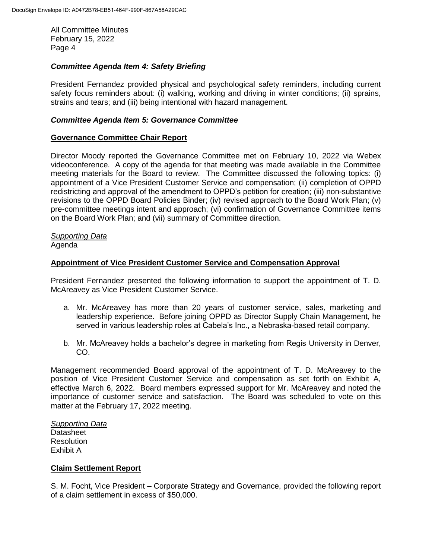#### *Committee Agenda Item 4: Safety Briefing*

President Fernandez provided physical and psychological safety reminders, including current safety focus reminders about: (i) walking, working and driving in winter conditions; (ii) sprains, strains and tears; and (iii) being intentional with hazard management.

#### *Committee Agenda Item 5: Governance Committee*

#### **Governance Committee Chair Report**

Director Moody reported the Governance Committee met on February 10, 2022 via Webex videoconference. A copy of the agenda for that meeting was made available in the Committee meeting materials for the Board to review. The Committee discussed the following topics: (i) appointment of a Vice President Customer Service and compensation; (ii) completion of OPPD redistricting and approval of the amendment to OPPD's petition for creation; (iii) non-substantive revisions to the OPPD Board Policies Binder; (iv) revised approach to the Board Work Plan; (v) pre-committee meetings intent and approach; (vi) confirmation of Governance Committee items on the Board Work Plan; and (vii) summary of Committee direction.

# *Supporting Data*

Agenda

#### **Appointment of Vice President Customer Service and Compensation Approval**

President Fernandez presented the following information to support the appointment of T. D. McAreavey as Vice President Customer Service.

- a. Mr. McAreavey has more than 20 years of customer service, sales, marketing and leadership experience. Before joining OPPD as Director Supply Chain Management, he served in various leadership roles at Cabela's Inc., a Nebraska-based retail company.
- b. Mr. McAreavey holds a bachelor's degree in marketing from Regis University in Denver, CO.

Management recommended Board approval of the appointment of T. D. McAreavey to the position of Vice President Customer Service and compensation as set forth on Exhibit A, effective March 6, 2022. Board members expressed support for Mr. McAreavey and noted the importance of customer service and satisfaction. The Board was scheduled to vote on this matter at the February 17, 2022 meeting.

## *Supporting Data* **Datasheet** Resolution Exhibit A

#### **Claim Settlement Report**

S. M. Focht, Vice President – Corporate Strategy and Governance, provided the following report of a claim settlement in excess of \$50,000.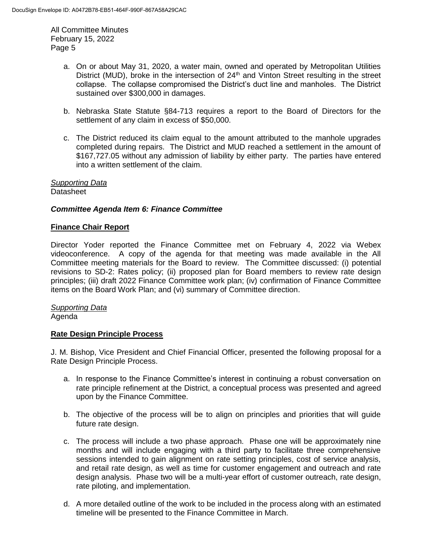- a. On or about May 31, 2020, a water main, owned and operated by Metropolitan Utilities District (MUD), broke in the intersection of  $24<sup>th</sup>$  and Vinton Street resulting in the street collapse. The collapse compromised the District's duct line and manholes. The District sustained over \$300,000 in damages.
- b. Nebraska State Statute §84-713 requires a report to the Board of Directors for the settlement of any claim in excess of \$50,000.
- c. The District reduced its claim equal to the amount attributed to the manhole upgrades completed during repairs. The District and MUD reached a settlement in the amount of \$167,727.05 without any admission of liability by either party. The parties have entered into a written settlement of the claim.

*Supporting Data* **Datasheet** 

# *Committee Agenda Item 6: Finance Committee*

## **Finance Chair Report**

Director Yoder reported the Finance Committee met on February 4, 2022 via Webex videoconference. A copy of the agenda for that meeting was made available in the All Committee meeting materials for the Board to review. The Committee discussed: (i) potential revisions to SD-2: Rates policy; (ii) proposed plan for Board members to review rate design principles; (iii) draft 2022 Finance Committee work plan; (iv) confirmation of Finance Committee items on the Board Work Plan; and (vi) summary of Committee direction.

*Supporting Data* Agenda

## **Rate Design Principle Process**

J. M. Bishop, Vice President and Chief Financial Officer, presented the following proposal for a Rate Design Principle Process.

- a. In response to the Finance Committee's interest in continuing a robust conversation on rate principle refinement at the District, a conceptual process was presented and agreed upon by the Finance Committee.
- b. The objective of the process will be to align on principles and priorities that will guide future rate design.
- c. The process will include a two phase approach. Phase one will be approximately nine months and will include engaging with a third party to facilitate three comprehensive sessions intended to gain alignment on rate setting principles, cost of service analysis, and retail rate design, as well as time for customer engagement and outreach and rate design analysis. Phase two will be a multi-year effort of customer outreach, rate design, rate piloting, and implementation.
- d. A more detailed outline of the work to be included in the process along with an estimated timeline will be presented to the Finance Committee in March.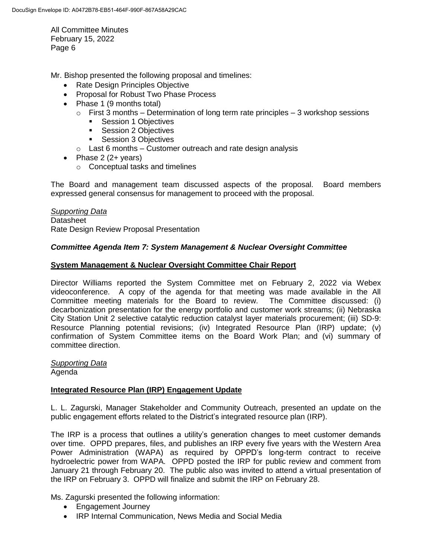Mr. Bishop presented the following proposal and timelines:

- Rate Design Principles Objective
- Proposal for Robust Two Phase Process
- Phase 1 (9 months total)
	- $\circ$  First 3 months Determination of long term rate principles 3 workshop sessions
		- **Session 1 Objectives**
		- **Session 2 Objectives**
		- **Session 3 Objectives**
	- $\circ$  Last 6 months Customer outreach and rate design analysis
- Phase  $2(2 + \text{years})$ 
	- o Conceptual tasks and timelines

The Board and management team discussed aspects of the proposal. Board members expressed general consensus for management to proceed with the proposal.

*Supporting Data* **Datasheet** Rate Design Review Proposal Presentation

## *Committee Agenda Item 7: System Management & Nuclear Oversight Committee*

## **System Management & Nuclear Oversight Committee Chair Report**

Director Williams reported the System Committee met on February 2, 2022 via Webex videoconference. A copy of the agenda for that meeting was made available in the All Committee meeting materials for the Board to review. The Committee discussed: (i) decarbonization presentation for the energy portfolio and customer work streams; (ii) Nebraska City Station Unit 2 selective catalytic reduction catalyst layer materials procurement; (iii) SD-9: Resource Planning potential revisions; (iv) Integrated Resource Plan (IRP) update; (v) confirmation of System Committee items on the Board Work Plan; and (vi) summary of committee direction.

# *Supporting Data*

Agenda

#### **Integrated Resource Plan (IRP) Engagement Update**

L. L. Zagurski, Manager Stakeholder and Community Outreach, presented an update on the public engagement efforts related to the District's integrated resource plan (IRP).

The IRP is a process that outlines a utility's generation changes to meet customer demands over time. OPPD prepares, files, and publishes an IRP every five years with the Western Area Power Administration (WAPA) as required by OPPD's long-term contract to receive hydroelectric power from WAPA. OPPD posted the IRP for public review and comment from January 21 through February 20. The public also was invited to attend a virtual presentation of the IRP on February 3. OPPD will finalize and submit the IRP on February 28.

Ms. Zagurski presented the following information:

- Engagement Journey
- IRP Internal Communication, News Media and Social Media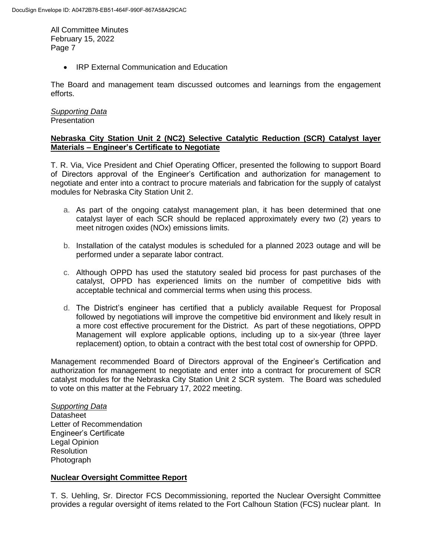• IRP External Communication and Education

The Board and management team discussed outcomes and learnings from the engagement efforts.

## *Supporting Data* **Presentation**

## **Nebraska City Station Unit 2 (NC2) Selective Catalytic Reduction (SCR) Catalyst layer Materials – Engineer's Certificate to Negotiate**

T. R. Via, Vice President and Chief Operating Officer, presented the following to support Board of Directors approval of the Engineer's Certification and authorization for management to negotiate and enter into a contract to procure materials and fabrication for the supply of catalyst modules for Nebraska City Station Unit 2.

- a. As part of the ongoing catalyst management plan, it has been determined that one catalyst layer of each SCR should be replaced approximately every two (2) years to meet nitrogen oxides (NOx) emissions limits.
- b. Installation of the catalyst modules is scheduled for a planned 2023 outage and will be performed under a separate labor contract.
- c. Although OPPD has used the statutory sealed bid process for past purchases of the catalyst, OPPD has experienced limits on the number of competitive bids with acceptable technical and commercial terms when using this process.
- d. The District's engineer has certified that a publicly available Request for Proposal followed by negotiations will improve the competitive bid environment and likely result in a more cost effective procurement for the District. As part of these negotiations, OPPD Management will explore applicable options, including up to a six-year (three layer replacement) option, to obtain a contract with the best total cost of ownership for OPPD.

Management recommended Board of Directors approval of the Engineer's Certification and authorization for management to negotiate and enter into a contract for procurement of SCR catalyst modules for the Nebraska City Station Unit 2 SCR system. The Board was scheduled to vote on this matter at the February 17, 2022 meeting.

*Supporting Data* **Datasheet** Letter of Recommendation Engineer's Certificate Legal Opinion **Resolution** Photograph

# **Nuclear Oversight Committee Report**

T. S. Uehling, Sr. Director FCS Decommissioning, reported the Nuclear Oversight Committee provides a regular oversight of items related to the Fort Calhoun Station (FCS) nuclear plant. In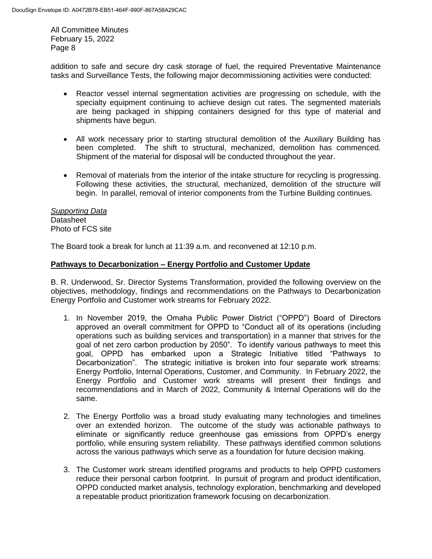addition to safe and secure dry cask storage of fuel, the required Preventative Maintenance tasks and Surveillance Tests, the following major decommissioning activities were conducted:

- Reactor vessel internal segmentation activities are progressing on schedule, with the specialty equipment continuing to achieve design cut rates. The segmented materials are being packaged in shipping containers designed for this type of material and shipments have begun.
- All work necessary prior to starting structural demolition of the Auxiliary Building has been completed. The shift to structural, mechanized, demolition has commenced. Shipment of the material for disposal will be conducted throughout the year.
- Removal of materials from the interior of the intake structure for recycling is progressing. Following these activities, the structural, mechanized, demolition of the structure will begin. In parallel, removal of interior components from the Turbine Building continues.

*Supporting Data* **Datasheet** Photo of FCS site

The Board took a break for lunch at 11:39 a.m. and reconvened at 12:10 p.m.

## **Pathways to Decarbonization – Energy Portfolio and Customer Update**

B. R. Underwood, Sr. Director Systems Transformation, provided the following overview on the objectives, methodology, findings and recommendations on the Pathways to Decarbonization Energy Portfolio and Customer work streams for February 2022.

- 1. In November 2019, the Omaha Public Power District ("OPPD") Board of Directors approved an overall commitment for OPPD to "Conduct all of its operations (including operations such as building services and transportation) in a manner that strives for the goal of net zero carbon production by 2050". To identify various pathways to meet this goal, OPPD has embarked upon a Strategic Initiative titled "Pathways to Decarbonization". The strategic initiative is broken into four separate work streams: Energy Portfolio, Internal Operations, Customer, and Community. In February 2022, the Energy Portfolio and Customer work streams will present their findings and recommendations and in March of 2022, Community & Internal Operations will do the same.
- 2. The Energy Portfolio was a broad study evaluating many technologies and timelines over an extended horizon. The outcome of the study was actionable pathways to eliminate or significantly reduce greenhouse gas emissions from OPPD's energy portfolio, while ensuring system reliability. These pathways identified common solutions across the various pathways which serve as a foundation for future decision making.
- 3. The Customer work stream identified programs and products to help OPPD customers reduce their personal carbon footprint. In pursuit of program and product identification, OPPD conducted market analysis, technology exploration, benchmarking and developed a repeatable product prioritization framework focusing on decarbonization.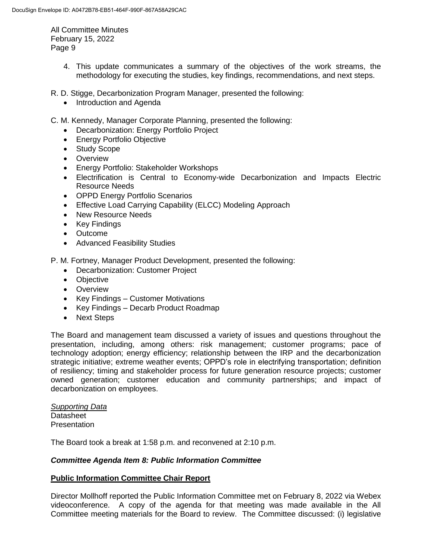> 4. This update communicates a summary of the objectives of the work streams, the methodology for executing the studies, key findings, recommendations, and next steps.

R. D. Stigge, Decarbonization Program Manager, presented the following:

- Introduction and Agenda
- C. M. Kennedy, Manager Corporate Planning, presented the following:
	- Decarbonization: Energy Portfolio Project
	- Energy Portfolio Objective
	- Study Scope
	- Overview
	- Energy Portfolio: Stakeholder Workshops
	- Electrification is Central to Economy-wide Decarbonization and Impacts Electric Resource Needs
	- OPPD Energy Portfolio Scenarios
	- Effective Load Carrying Capability (ELCC) Modeling Approach
	- New Resource Needs
	- Key Findings
	- Outcome
	- Advanced Feasibility Studies

P. M. Fortney, Manager Product Development, presented the following:

- Decarbonization: Customer Project
- Objective
- **•** Overview
- Key Findings Customer Motivations
- Key Findings Decarb Product Roadmap
- Next Steps

The Board and management team discussed a variety of issues and questions throughout the presentation, including, among others: risk management; customer programs; pace of technology adoption; energy efficiency; relationship between the IRP and the decarbonization strategic initiative; extreme weather events; OPPD's role in electrifying transportation; definition of resiliency; timing and stakeholder process for future generation resource projects; customer owned generation; customer education and community partnerships; and impact of decarbonization on employees.

*Supporting Data* **Datasheet Presentation** 

The Board took a break at 1:58 p.m. and reconvened at 2:10 p.m.

#### *Committee Agenda Item 8: Public Information Committee*

#### **Public Information Committee Chair Report**

Director Mollhoff reported the Public Information Committee met on February 8, 2022 via Webex videoconference. A copy of the agenda for that meeting was made available in the All Committee meeting materials for the Board to review. The Committee discussed: (i) legislative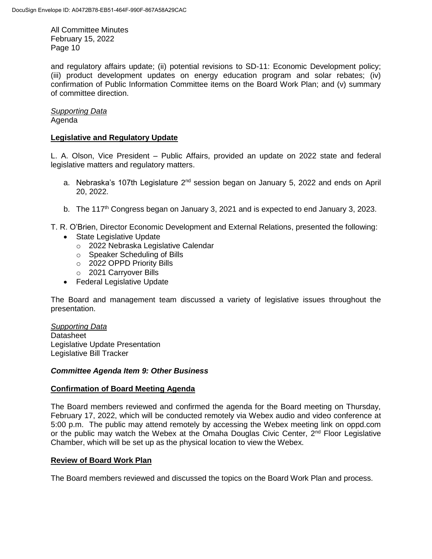and regulatory affairs update; (ii) potential revisions to SD-11: Economic Development policy; (iii) product development updates on energy education program and solar rebates; (iv) confirmation of Public Information Committee items on the Board Work Plan; and (v) summary of committee direction.

# *Supporting Data*

Agenda

# **Legislative and Regulatory Update**

L. A. Olson, Vice President – Public Affairs, provided an update on 2022 state and federal legislative matters and regulatory matters.

- a. Nebraska's 107th Legislature  $2^{nd}$  session began on January 5, 2022 and ends on April 20, 2022.
- b. The 117<sup>th</sup> Congress began on January 3, 2021 and is expected to end January 3, 2023.

T. R. O'Brien, Director Economic Development and External Relations, presented the following:

- State Legislative Update
	- o 2022 Nebraska Legislative Calendar
	- o Speaker Scheduling of Bills
	- o 2022 OPPD Priority Bills
	- o 2021 Carryover Bills
- Federal Legislative Update

The Board and management team discussed a variety of legislative issues throughout the presentation.

*Supporting Data* **Datasheet** Legislative Update Presentation Legislative Bill Tracker

# *Committee Agenda Item 9: Other Business*

# **Confirmation of Board Meeting Agenda**

The Board members reviewed and confirmed the agenda for the Board meeting on Thursday, February 17, 2022, which will be conducted remotely via Webex audio and video conference at 5:00 p.m. The public may attend remotely by accessing the Webex meeting link on oppd.com or the public may watch the Webex at the Omaha Douglas Civic Center,  $2<sup>nd</sup>$  Floor Legislative Chamber, which will be set up as the physical location to view the Webex.

#### **Review of Board Work Plan**

The Board members reviewed and discussed the topics on the Board Work Plan and process.